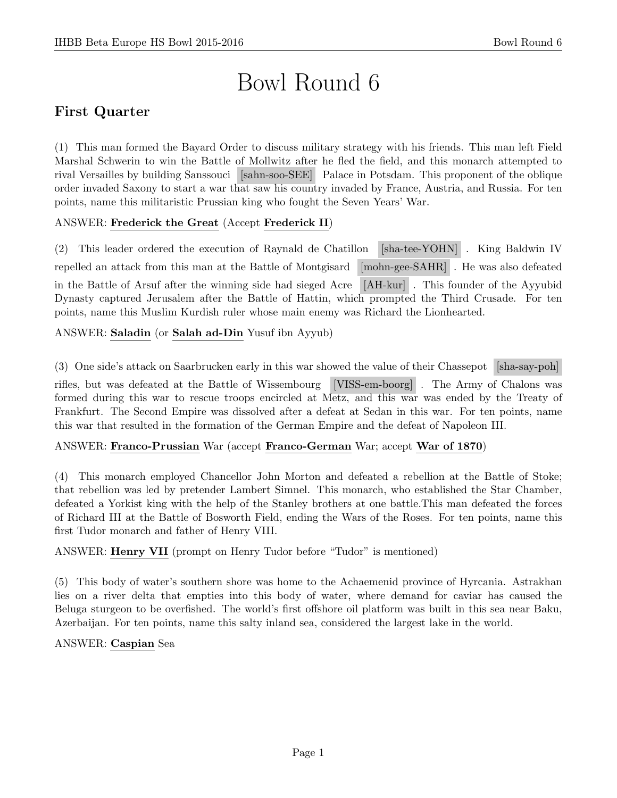# Bowl Round 6

# First Quarter

(1) This man formed the Bayard Order to discuss military strategy with his friends. This man left Field Marshal Schwerin to win the Battle of Mollwitz after he fled the field, and this monarch attempted to rival Versailles by building Sanssouci [sahn-soo-SEE] Palace in Potsdam. This proponent of the oblique order invaded Saxony to start a war that saw his country invaded by France, Austria, and Russia. For ten points, name this militaristic Prussian king who fought the Seven Years' War.

# ANSWER: Frederick the Great (Accept Frederick II)

(2) This leader ordered the execution of Raynald de Chatillon [sha-tee-YOHN] . King Baldwin IV repelled an attack from this man at the Battle of Montgisard [mohn-gee-SAHR] . He was also defeated in the Battle of Arsuf after the winning side had sieged Acre [AH-kur] . This founder of the Ayyubid Dynasty captured Jerusalem after the Battle of Hattin, which prompted the Third Crusade. For ten points, name this Muslim Kurdish ruler whose main enemy was Richard the Lionhearted.

# ANSWER: Saladin (or Salah ad-Din Yusuf ibn Ayyub)

(3) One side's attack on Saarbrucken early in this war showed the value of their Chassepot [sha-say-poh] rifles, but was defeated at the Battle of Wissembourg [VISS-em-boorg] . The Army of Chalons was formed during this war to rescue troops encircled at Metz, and this war was ended by the Treaty of Frankfurt. The Second Empire was dissolved after a defeat at Sedan in this war. For ten points, name this war that resulted in the formation of the German Empire and the defeat of Napoleon III.

# ANSWER: Franco-Prussian War (accept Franco-German War; accept War of 1870)

(4) This monarch employed Chancellor John Morton and defeated a rebellion at the Battle of Stoke; that rebellion was led by pretender Lambert Simnel. This monarch, who established the Star Chamber, defeated a Yorkist king with the help of the Stanley brothers at one battle.This man defeated the forces of Richard III at the Battle of Bosworth Field, ending the Wars of the Roses. For ten points, name this first Tudor monarch and father of Henry VIII.

ANSWER: Henry VII (prompt on Henry Tudor before "Tudor" is mentioned)

(5) This body of water's southern shore was home to the Achaemenid province of Hyrcania. Astrakhan lies on a river delta that empties into this body of water, where demand for caviar has caused the Beluga sturgeon to be overfished. The world's first offshore oil platform was built in this sea near Baku, Azerbaijan. For ten points, name this salty inland sea, considered the largest lake in the world.

# ANSWER: Caspian Sea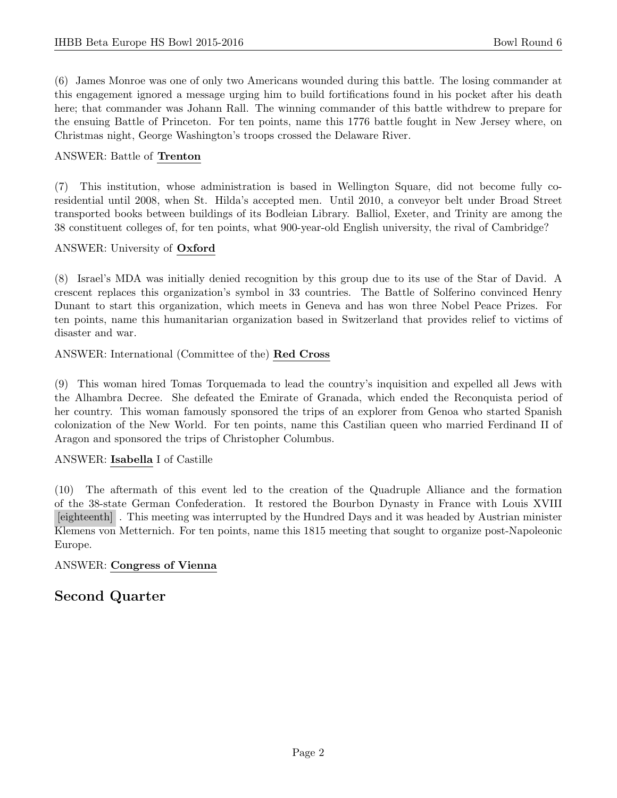(6) James Monroe was one of only two Americans wounded during this battle. The losing commander at this engagement ignored a message urging him to build fortifications found in his pocket after his death here; that commander was Johann Rall. The winning commander of this battle withdrew to prepare for the ensuing Battle of Princeton. For ten points, name this 1776 battle fought in New Jersey where, on Christmas night, George Washington's troops crossed the Delaware River.

# ANSWER: Battle of Trenton

(7) This institution, whose administration is based in Wellington Square, did not become fully coresidential until 2008, when St. Hilda's accepted men. Until 2010, a conveyor belt under Broad Street transported books between buildings of its Bodleian Library. Balliol, Exeter, and Trinity are among the 38 constituent colleges of, for ten points, what 900-year-old English university, the rival of Cambridge?

# ANSWER: University of Oxford

(8) Israel's MDA was initially denied recognition by this group due to its use of the Star of David. A crescent replaces this organization's symbol in 33 countries. The Battle of Solferino convinced Henry Dunant to start this organization, which meets in Geneva and has won three Nobel Peace Prizes. For ten points, name this humanitarian organization based in Switzerland that provides relief to victims of disaster and war.

ANSWER: International (Committee of the) Red Cross

(9) This woman hired Tomas Torquemada to lead the country's inquisition and expelled all Jews with the Alhambra Decree. She defeated the Emirate of Granada, which ended the Reconquista period of her country. This woman famously sponsored the trips of an explorer from Genoa who started Spanish colonization of the New World. For ten points, name this Castilian queen who married Ferdinand II of Aragon and sponsored the trips of Christopher Columbus.

# ANSWER: Isabella I of Castille

(10) The aftermath of this event led to the creation of the Quadruple Alliance and the formation of the 38-state German Confederation. It restored the Bourbon Dynasty in France with Louis XVIII [eighteenth] . This meeting was interrupted by the Hundred Days and it was headed by Austrian minister Klemens von Metternich. For ten points, name this 1815 meeting that sought to organize post-Napoleonic Europe.

# ANSWER: Congress of Vienna

# Second Quarter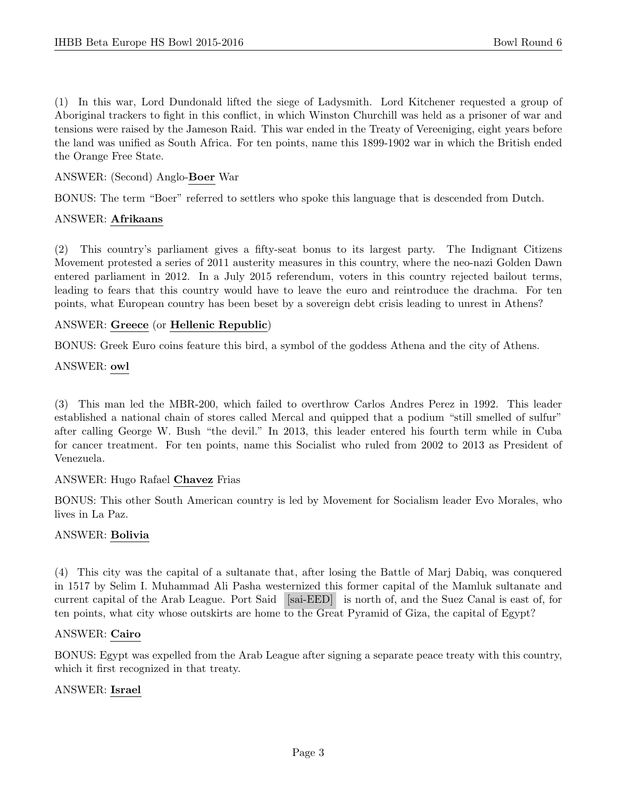(1) In this war, Lord Dundonald lifted the siege of Ladysmith. Lord Kitchener requested a group of Aboriginal trackers to fight in this conflict, in which Winston Churchill was held as a prisoner of war and tensions were raised by the Jameson Raid. This war ended in the Treaty of Vereeniging, eight years before the land was unified as South Africa. For ten points, name this 1899-1902 war in which the British ended the Orange Free State.

## ANSWER: (Second) Anglo-Boer War

BONUS: The term "Boer" referred to settlers who spoke this language that is descended from Dutch.

#### ANSWER: Afrikaans

(2) This country's parliament gives a fifty-seat bonus to its largest party. The Indignant Citizens Movement protested a series of 2011 austerity measures in this country, where the neo-nazi Golden Dawn entered parliament in 2012. In a July 2015 referendum, voters in this country rejected bailout terms, leading to fears that this country would have to leave the euro and reintroduce the drachma. For ten points, what European country has been beset by a sovereign debt crisis leading to unrest in Athens?

#### ANSWER: Greece (or Hellenic Republic)

BONUS: Greek Euro coins feature this bird, a symbol of the goddess Athena and the city of Athens.

#### ANSWER: owl

(3) This man led the MBR-200, which failed to overthrow Carlos Andres Perez in 1992. This leader established a national chain of stores called Mercal and quipped that a podium "still smelled of sulfur" after calling George W. Bush "the devil." In 2013, this leader entered his fourth term while in Cuba for cancer treatment. For ten points, name this Socialist who ruled from 2002 to 2013 as President of Venezuela.

#### ANSWER: Hugo Rafael Chavez Frias

BONUS: This other South American country is led by Movement for Socialism leader Evo Morales, who lives in La Paz.

# ANSWER: Bolivia

(4) This city was the capital of a sultanate that, after losing the Battle of Marj Dabiq, was conquered in 1517 by Selim I. Muhammad Ali Pasha westernized this former capital of the Mamluk sultanate and current capital of the Arab League. Port Said [sai-EED] is north of, and the Suez Canal is east of, for ten points, what city whose outskirts are home to the Great Pyramid of Giza, the capital of Egypt?

#### ANSWER: Cairo

BONUS: Egypt was expelled from the Arab League after signing a separate peace treaty with this country, which it first recognized in that treaty.

#### ANSWER: Israel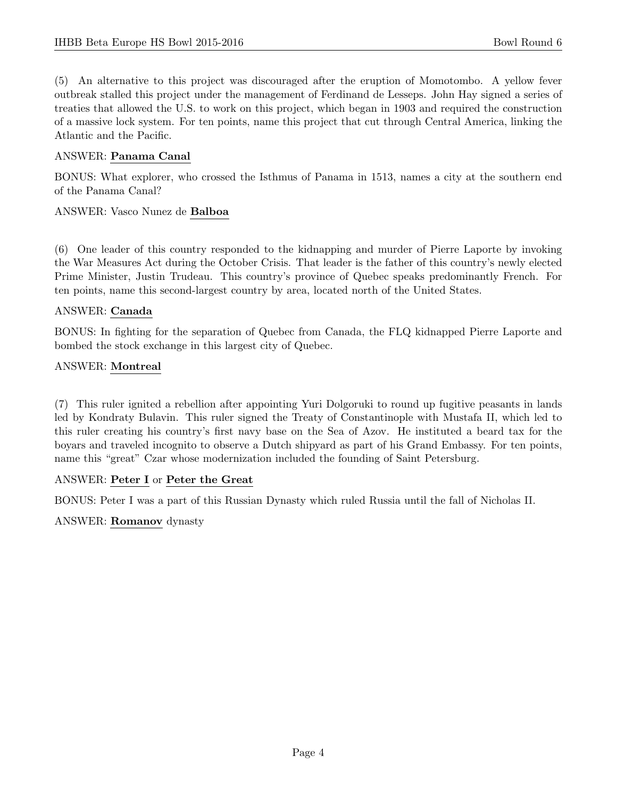(5) An alternative to this project was discouraged after the eruption of Momotombo. A yellow fever outbreak stalled this project under the management of Ferdinand de Lesseps. John Hay signed a series of treaties that allowed the U.S. to work on this project, which began in 1903 and required the construction of a massive lock system. For ten points, name this project that cut through Central America, linking the Atlantic and the Pacific.

#### ANSWER: Panama Canal

BONUS: What explorer, who crossed the Isthmus of Panama in 1513, names a city at the southern end of the Panama Canal?

#### ANSWER: Vasco Nunez de Balboa

(6) One leader of this country responded to the kidnapping and murder of Pierre Laporte by invoking the War Measures Act during the October Crisis. That leader is the father of this country's newly elected Prime Minister, Justin Trudeau. This country's province of Quebec speaks predominantly French. For ten points, name this second-largest country by area, located north of the United States.

#### ANSWER: Canada

BONUS: In fighting for the separation of Quebec from Canada, the FLQ kidnapped Pierre Laporte and bombed the stock exchange in this largest city of Quebec.

#### ANSWER: Montreal

(7) This ruler ignited a rebellion after appointing Yuri Dolgoruki to round up fugitive peasants in lands led by Kondraty Bulavin. This ruler signed the Treaty of Constantinople with Mustafa II, which led to this ruler creating his country's first navy base on the Sea of Azov. He instituted a beard tax for the boyars and traveled incognito to observe a Dutch shipyard as part of his Grand Embassy. For ten points, name this "great" Czar whose modernization included the founding of Saint Petersburg.

# ANSWER: Peter I or Peter the Great

BONUS: Peter I was a part of this Russian Dynasty which ruled Russia until the fall of Nicholas II.

#### ANSWER: Romanov dynasty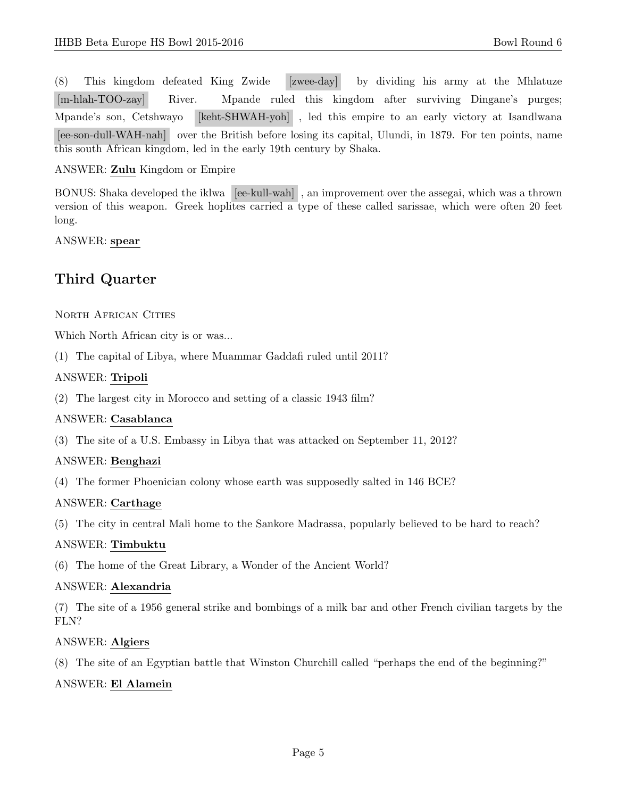(8) This kingdom defeated King Zwide [zwee-day] by dividing his army at the Mhlatuze [m-hlah-TOO-zay] River. Mpande ruled this kingdom after surviving Dingane's purges; Mpande's son, Cetshwayo [keht-SHWAH-yoh] , led this empire to an early victory at Isandlwana [ee-son-dull-WAH-nah] over the British before losing its capital, Ulundi, in 1879. For ten points, name this south African kingdom, led in the early 19th century by Shaka.

## ANSWER: Zulu Kingdom or Empire

BONUS: Shaka developed the iklwa [ee-kull-wah] , an improvement over the assegai, which was a thrown version of this weapon. Greek hoplites carried a type of these called sarissae, which were often 20 feet long.

ANSWER: spear

# Third Quarter

NORTH AFRICAN CITIES

Which North African city is or was...

(1) The capital of Libya, where Muammar Gaddafi ruled until 2011?

# ANSWER: Tripoli

(2) The largest city in Morocco and setting of a classic 1943 film?

# ANSWER: Casablanca

(3) The site of a U.S. Embassy in Libya that was attacked on September 11, 2012?

# ANSWER: Benghazi

(4) The former Phoenician colony whose earth was supposedly salted in 146 BCE?

#### ANSWER: Carthage

(5) The city in central Mali home to the Sankore Madrassa, popularly believed to be hard to reach?

# ANSWER: Timbuktu

(6) The home of the Great Library, a Wonder of the Ancient World?

#### ANSWER: Alexandria

(7) The site of a 1956 general strike and bombings of a milk bar and other French civilian targets by the FLN?

#### ANSWER: Algiers

(8) The site of an Egyptian battle that Winston Churchill called "perhaps the end of the beginning?"

# ANSWER: El Alamein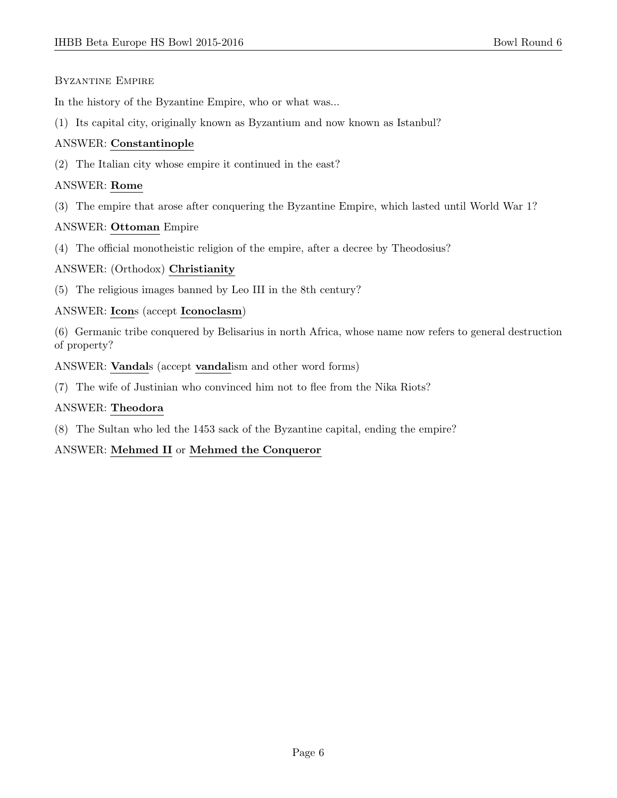#### Byzantine Empire

In the history of the Byzantine Empire, who or what was...

(1) Its capital city, originally known as Byzantium and now known as Istanbul?

# ANSWER: Constantinople

(2) The Italian city whose empire it continued in the east?

# ANSWER: Rome

(3) The empire that arose after conquering the Byzantine Empire, which lasted until World War 1?

# ANSWER: Ottoman Empire

(4) The official monotheistic religion of the empire, after a decree by Theodosius?

# ANSWER: (Orthodox) Christianity

(5) The religious images banned by Leo III in the 8th century?

# ANSWER: Icons (accept Iconoclasm)

(6) Germanic tribe conquered by Belisarius in north Africa, whose name now refers to general destruction of property?

ANSWER: Vandals (accept vandalism and other word forms)

(7) The wife of Justinian who convinced him not to flee from the Nika Riots?

# ANSWER: Theodora

(8) The Sultan who led the 1453 sack of the Byzantine capital, ending the empire?

# ANSWER: Mehmed II or Mehmed the Conqueror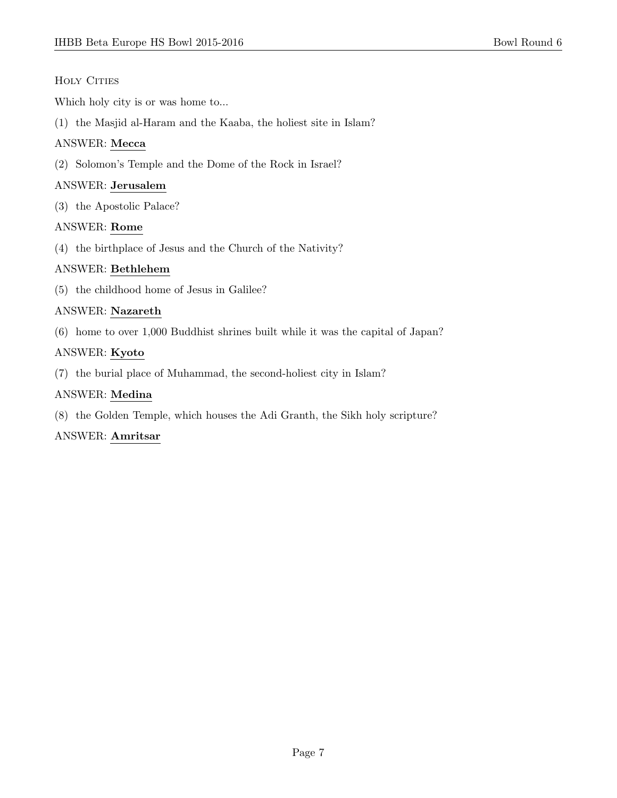# HOLY CITIES

Which holy city is or was home to...

(1) the Masjid al-Haram and the Kaaba, the holiest site in Islam?

# ANSWER: Mecca

(2) Solomon's Temple and the Dome of the Rock in Israel?

# ANSWER: Jerusalem

(3) the Apostolic Palace?

# ANSWER: Rome

(4) the birthplace of Jesus and the Church of the Nativity?

# ANSWER: Bethlehem

(5) the childhood home of Jesus in Galilee?

# ANSWER: Nazareth

(6) home to over 1,000 Buddhist shrines built while it was the capital of Japan?

# ANSWER: Kyoto

(7) the burial place of Muhammad, the second-holiest city in Islam?

# ANSWER: Medina

(8) the Golden Temple, which houses the Adi Granth, the Sikh holy scripture?

# ANSWER: Amritsar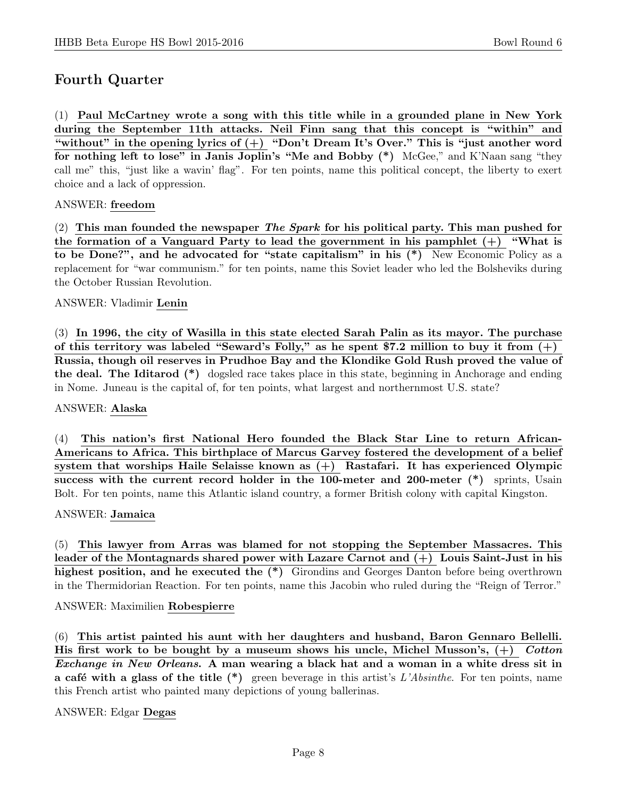# Fourth Quarter

(1) Paul McCartney wrote a song with this title while in a grounded plane in New York during the September 11th attacks. Neil Finn sang that this concept is "within" and "without" in the opening lyrics of  $(+)$  "Don't Dream It's Over." This is "just another word for nothing left to lose" in Janis Joplin's "Me and Bobby (\*) McGee," and K'Naan sang "they call me" this, "just like a wavin' flag". For ten points, name this political concept, the liberty to exert choice and a lack of oppression.

# ANSWER: freedom

(2) This man founded the newspaper The Spark for his political party. This man pushed for the formation of a Vanguard Party to lead the government in his pamphlet  $(+)$  "What is to be Done?", and he advocated for "state capitalism" in his (\*) New Economic Policy as a replacement for "war communism." for ten points, name this Soviet leader who led the Bolsheviks during the October Russian Revolution.

# ANSWER: Vladimir Lenin

(3) In 1996, the city of Wasilla in this state elected Sarah Palin as its mayor. The purchase of this territory was labeled "Seward's Folly," as he spent \$7.2 million to buy it from  $(+)$ Russia, though oil reserves in Prudhoe Bay and the Klondike Gold Rush proved the value of the deal. The Iditarod (\*) dogsled race takes place in this state, beginning in Anchorage and ending in Nome. Juneau is the capital of, for ten points, what largest and northernmost U.S. state?

#### ANSWER: Alaska

(4) This nation's first National Hero founded the Black Star Line to return African-Americans to Africa. This birthplace of Marcus Garvey fostered the development of a belief system that worships Haile Selaisse known as (+) Rastafari. It has experienced Olympic success with the current record holder in the 100-meter and 200-meter (\*) sprints, Usain Bolt. For ten points, name this Atlantic island country, a former British colony with capital Kingston.

#### ANSWER: Jamaica

(5) This lawyer from Arras was blamed for not stopping the September Massacres. This leader of the Montagnards shared power with Lazare Carnot and (+) Louis Saint-Just in his highest position, and he executed the  $(*)$  Girondins and Georges Danton before being overthrown in the Thermidorian Reaction. For ten points, name this Jacobin who ruled during the "Reign of Terror."

#### ANSWER: Maximilien Robespierre

(6) This artist painted his aunt with her daughters and husband, Baron Gennaro Bellelli. His first work to be bought by a museum shows his uncle, Michel Musson's,  $(+)$  Cotton Exchange in New Orleans. A man wearing a black hat and a woman in a white dress sit in a café with a glass of the title  $(*)$  green beverage in this artist's L'Absinthe. For ten points, name this French artist who painted many depictions of young ballerinas.

# ANSWER: Edgar Degas